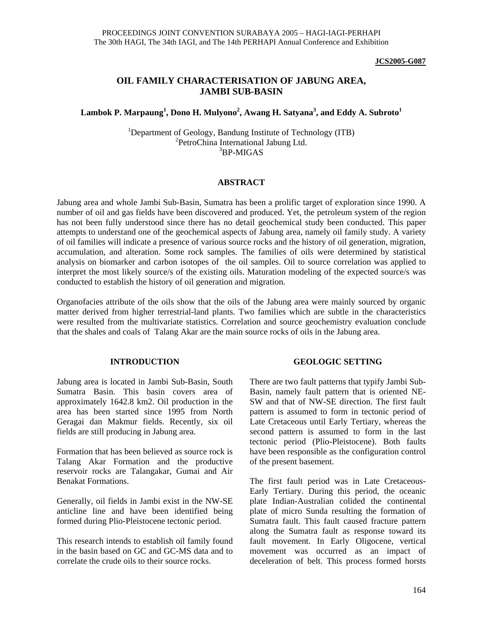#### **JCS2005-G087**

### **OIL FAMILY CHARACTERISATION OF JABUNG AREA, JAMBI SUB-BASIN**

### **Lambok P. Marpaung<sup>1</sup> , Dono H. Mulyono<sup>2</sup> , Awang H. Satyana<sup>3</sup> , and Eddy A. Subroto<sup>1</sup>**

<sup>1</sup>Department of Geology, Bandung Institute of Technology (ITB) <sup>2</sup>PetroChina International Jabung Ltd. 3 BP-MIGAS

#### **ABSTRACT**

Jabung area and whole Jambi Sub-Basin, Sumatra has been a prolific target of exploration since 1990. A number of oil and gas fields have been discovered and produced. Yet, the petroleum system of the region has not been fully understood since there has no detail geochemical study been conducted. This paper attempts to understand one of the geochemical aspects of Jabung area, namely oil family study. A variety of oil families will indicate a presence of various source rocks and the history of oil generation, migration, accumulation, and alteration. Some rock samples. The families of oils were determined by statistical analysis on biomarker and carbon isotopes of the oil samples. Oil to source correlation was applied to interpret the most likely source/s of the existing oils. Maturation modeling of the expected source/s was conducted to establish the history of oil generation and migration.

Organofacies attribute of the oils show that the oils of the Jabung area were mainly sourced by organic matter derived from higher terrestrial-land plants. Two families which are subtle in the characteristics were resulted from the multivariate statistics. Correlation and source geochemistry evaluation conclude that the shales and coals of Talang Akar are the main source rocks of oils in the Jabung area.

### **INTRODUCTION**

Jabung area is located in Jambi Sub-Basin, South Sumatra Basin. This basin covers area of approximately 1642.8 km2. Oil production in the area has been started since 1995 from North Geragai dan Makmur fields. Recently, six oil fields are still producing in Jabung area.

Formation that has been believed as source rock is Talang Akar Formation and the productive reservoir rocks are Talangakar, Gumai and Air Benakat Formations.

Generally, oil fields in Jambi exist in the NW-SE anticline line and have been identified being formed during Plio-Pleistocene tectonic period.

This research intends to establish oil family found in the basin based on GC and GC-MS data and to correlate the crude oils to their source rocks.

### **GEOLOGIC SETTING**

There are two fault patterns that typify Jambi Sub-Basin, namely fault pattern that is oriented NE-SW and that of NW-SE direction. The first fault pattern is assumed to form in tectonic period of Late Cretaceous until Early Tertiary, whereas the second pattern is assumed to form in the last tectonic period (Plio-Pleistocene). Both faults have been responsible as the configuration control of the present basement.

The first fault period was in Late Cretaceous-Early Tertiary. During this period, the oceanic plate Indian-Australian colided the continental plate of micro Sunda resulting the formation of Sumatra fault. This fault caused fracture pattern along the Sumatra fault as response toward its fault movement. In Early Oligocene, vertical movement was occurred as an impact of deceleration of belt. This process formed horsts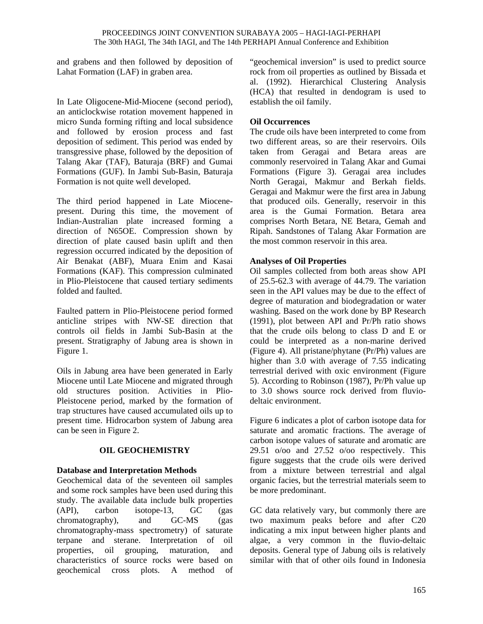and grabens and then followed by deposition of Lahat Formation (LAF) in graben area.

In Late Oligocene-Mid-Miocene (second period), an anticlockwise rotation movement happened in micro Sunda forming rifting and local subsidence and followed by erosion process and fast deposition of sediment. This period was ended by transgressive phase, followed by the deposition of Talang Akar (TAF), Baturaja (BRF) and Gumai Formations (GUF). In Jambi Sub-Basin, Baturaja Formation is not quite well developed.

The third period happened in Late Miocenepresent. During this time, the movement of Indian-Australian plate increased forming a direction of N65OE. Compression shown by direction of plate caused basin uplift and then regression occurred indicated by the deposition of Air Benakat (ABF), Muara Enim and Kasai Formations (KAF). This compression culminated in Plio-Pleistocene that caused tertiary sediments folded and faulted.

Faulted pattern in Plio-Pleistocene period formed anticline stripes with NW-SE direction that controls oil fields in Jambi Sub-Basin at the present. Stratigraphy of Jabung area is shown in Figure 1.

Oils in Jabung area have been generated in Early Miocene until Late Miocene and migrated through old structures position. Activities in Plio-Pleistocene period, marked by the formation of trap structures have caused accumulated oils up to present time. Hidrocarbon system of Jabung area can be seen in Figure 2.

# **OIL GEOCHEMISTRY**

# **Database and Interpretation Methods**

Geochemical data of the seventeen oil samples and some rock samples have been used during this study. The available data include bulk properties (API), carbon isotope-13, GC (gas chromatography), and GC-MS (gas chromatography-mass spectrometry) of saturate terpane and sterane. Interpretation of oil properties, oil grouping, maturation, and characteristics of source rocks were based on geochemical cross plots. A method of

"geochemical inversion" is used to predict source rock from oil properties as outlined by Bissada et al. (1992). Hierarchical Clustering Analysis (HCA) that resulted in dendogram is used to establish the oil family.

# **Oil Occurrences**

The crude oils have been interpreted to come from two different areas, so are their reservoirs. Oils taken from Geragai and Betara areas are commonly reservoired in Talang Akar and Gumai Formations (Figure 3). Geragai area includes North Geragai, Makmur and Berkah fields. Geragai and Makmur were the first area in Jabung that produced oils. Generally, reservoir in this area is the Gumai Formation. Betara area comprises North Betara, NE Betara, Gemah and Ripah. Sandstones of Talang Akar Formation are the most common reservoir in this area.

## **Analyses of Oil Properties**

Oil samples collected from both areas show API of 25.5-62.3 with average of 44.79. The variation seen in the API values may be due to the effect of degree of maturation and biodegradation or water washing. Based on the work done by BP Research (1991), plot between API and Pr/Ph ratio shows that the crude oils belong to class D and E or could be interpreted as a non-marine derived (Figure 4). All pristane/phytane (Pr/Ph) values are higher than 3.0 with average of 7.55 indicating terrestrial derived with oxic environment (Figure 5). According to Robinson (1987), Pr/Ph value up to 3.0 shows source rock derived from fluviodeltaic environment.

Figure 6 indicates a plot of carbon isotope data for saturate and aromatic fractions. The average of carbon isotope values of saturate and aromatic are 29.51 o/oo and 27.52 o/oo respectively. This figure suggests that the crude oils were derived from a mixture between terrestrial and algal organic facies, but the terrestrial materials seem to be more predominant.

GC data relatively vary, but commonly there are two maximum peaks before and after C20 indicating a mix input between higher plants and algae, a very common in the fluvio-deltaic deposits. General type of Jabung oils is relatively similar with that of other oils found in Indonesia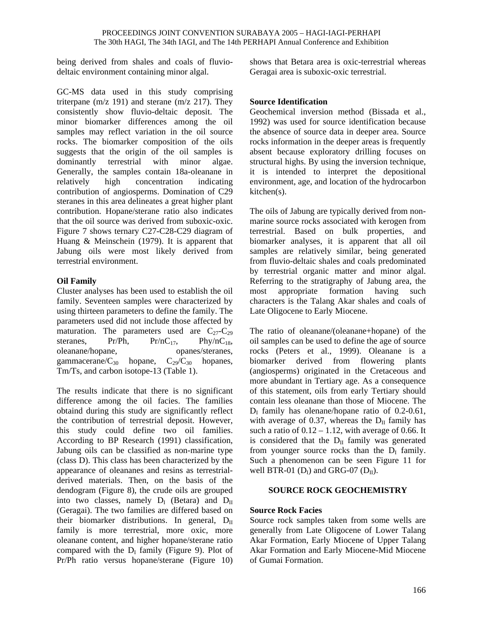being derived from shales and coals of fluviodeltaic environment containing minor algal.

GC-MS data used in this study comprising triterpane ( $m/z$  191) and sterane ( $m/z$  217). They consistently show fluvio-deltaic deposit. The minor biomarker differences among the oil samples may reflect variation in the oil source rocks. The biomarker composition of the oils suggests that the origin of the oil samples is dominantly terrestrial with minor algae. Generally, the samples contain 18a-oleanane in relatively high concentration indicating contribution of angiosperms. Domination of C29 steranes in this area delineates a great higher plant contribution. Hopane/sterane ratio also indicates that the oil source was derived from suboxic-oxic. Figure 7 shows ternary C27-C28-C29 diagram of Huang & Meinschein (1979). It is apparent that Jabung oils were most likely derived from terrestrial environment.

## **Oil Family**

Cluster analyses has been used to establish the oil family. Seventeen samples were characterized by using thirteen parameters to define the family. The parameters used did not include those affected by maturation. The parameters used are  $C_{27}-C_{29}$ steranes,  $Pr/Ph$ ,  $Pr/nC_{17}$ ,  $Phy/nC_{18}$ , oleanane/hopane, opanes/steranes, gammacerane/ $C_{30}$  hopane,  $C_{29}/C_{30}$  hopanes, Tm/Ts, and carbon isotope-13 (Table 1).

The results indicate that there is no significant difference among the oil facies. The families obtaind during this study are significantly reflect the contribution of terrestrial deposit. However, this study could define two oil families. According to BP Research (1991) classification, Jabung oils can be classified as non-marine type (class D). This class has been characterized by the appearance of oleananes and resins as terrestrialderived materials. Then, on the basis of the dendogram (Figure 8), the crude oils are grouped into two classes, namely  $D_I$  (Betara) and  $D_{II}$ (Geragai). The two families are differed based on their biomarker distributions. In general,  $D_{II}$ family is more terrestrial, more oxic, more oleanane content, and higher hopane/sterane ratio compared with the  $D<sub>I</sub>$  family (Figure 9). Plot of Pr/Ph ratio versus hopane/sterane (Figure 10) shows that Betara area is oxic-terrestrial whereas Geragai area is suboxic-oxic terrestrial.

## **Source Identification**

Geochemical inversion method (Bissada et al., 1992) was used for source identification because the absence of source data in deeper area. Source rocks information in the deeper areas is frequently absent because exploratory drilling focuses on structural highs. By using the inversion technique, it is intended to interpret the depositional environment, age, and location of the hydrocarbon kitchen(s).

The oils of Jabung are typically derived from nonmarine source rocks associated with kerogen from terrestrial. Based on bulk properties, and biomarker analyses, it is apparent that all oil samples are relatively similar, being generated from fluvio-deltaic shales and coals predominated by terrestrial organic matter and minor algal. Referring to the stratigraphy of Jabung area, the most appropriate formation having such characters is the Talang Akar shales and coals of Late Oligocene to Early Miocene.

The ratio of oleanane/(oleanane+hopane) of the oil samples can be used to define the age of source rocks (Peters et al., 1999). Oleanane is a biomarker derived from flowering plants (angiosperms) originated in the Cretaceous and more abundant in Tertiary age. As a consequence of this statement, oils from early Tertiary should contain less oleanane than those of Miocene. The  $D<sub>I</sub>$  family has olenane/hopane ratio of 0.2-0.61, with average of 0.37, whereas the  $D_{II}$  family has such a ratio of  $0.12 - 1.12$ , with average of 0.66. It is considered that the  $D_{II}$  family was generated from younger source rocks than the  $D_I$  family. Such a phenomenon can be seen Figure 11 for well BTR-01  $(D<sub>I</sub>)$  and GRG-07  $(D<sub>II</sub>)$ .

### **SOURCE ROCK GEOCHEMISTRY**

### **Source Rock Facies**

Source rock samples taken from some wells are generally from Late Oligocene of Lower Talang Akar Formation, Early Miocene of Upper Talang Akar Formation and Early Miocene-Mid Miocene of Gumai Formation.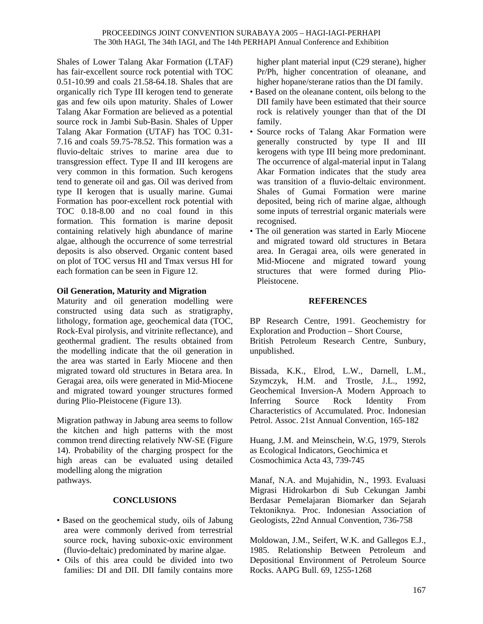Shales of Lower Talang Akar Formation (LTAF) has fair-excellent source rock potential with TOC 0.51-10.99 and coals 21.58-64.18. Shales that are organically rich Type III kerogen tend to generate gas and few oils upon maturity. Shales of Lower Talang Akar Formation are believed as a potential source rock in Jambi Sub-Basin. Shales of Upper Talang Akar Formation (UTAF) has TOC 0.31- 7.16 and coals 59.75-78.52. This formation was a fluvio-deltaic strives to marine area due to transgression effect. Type II and III kerogens are very common in this formation. Such kerogens tend to generate oil and gas. Oil was derived from type II kerogen that is usually marine. Gumai Formation has poor-excellent rock potential with TOC 0.18-8.00 and no coal found in this formation. This formation is marine deposit containing relatively high abundance of marine algae, although the occurrence of some terrestrial deposits is also observed. Organic content based on plot of TOC versus HI and Tmax versus HI for each formation can be seen in Figure 12.

### **Oil Generation, Maturity and Migration**

Maturity and oil generation modelling were constructed using data such as stratigraphy, lithology, formation age, geochemical data (TOC, Rock-Eval pirolysis, and vitrinite reflectance), and geothermal gradient. The results obtained from the modelling indicate that the oil generation in the area was started in Early Miocene and then migrated toward old structures in Betara area. In Geragai area, oils were generated in Mid-Miocene and migrated toward younger structures formed during Plio-Pleistocene (Figure 13).

Migration pathway in Jabung area seems to follow the kitchen and high patterns with the most common trend directing relatively NW-SE (Figure 14). Probability of the charging prospect for the high areas can be evaluated using detailed modelling along the migration pathways.

### **CONCLUSIONS**

- Based on the geochemical study, oils of Jabung area were commonly derived from terrestrial source rock, having suboxic-oxic environment (fluvio-deltaic) predominated by marine algae.
- Oils of this area could be divided into two families: DI and DII. DII family contains more

higher plant material input (C29 sterane), higher Pr/Ph, higher concentration of oleanane, and higher hopane/sterane ratios than the DI family.

- Based on the oleanane content, oils belong to the DII family have been estimated that their source rock is relatively younger than that of the DI family.
- Source rocks of Talang Akar Formation were generally constructed by type II and III kerogens with type III being more predominant. The occurrence of algal-material input in Talang Akar Formation indicates that the study area was transition of a fluvio-deltaic environment. Shales of Gumai Formation were marine deposited, being rich of marine algae, although some inputs of terrestrial organic materials were recognised.
- The oil generation was started in Early Miocene and migrated toward old structures in Betara area. In Geragai area, oils were generated in Mid-Miocene and migrated toward young structures that were formed during Plio-Pleistocene.

### **REFERENCES**

BP Research Centre, 1991. Geochemistry for Exploration and Production – Short Course,

British Petroleum Research Centre, Sunbury, unpublished.

Bissada, K.K., Elrod, L.W., Darnell, L.M., Szymczyk, H.M. and Trostle, J.L., 1992, Geochemical Inversion-A Modern Approach to Inferring Source Rock Identity From Characteristics of Accumulated. Proc. Indonesian Petrol. Assoc. 21st Annual Convention, 165-182

Huang, J.M. and Meinschein, W.G, 1979, Sterols as Ecological Indicators, Geochimica et Cosmochimica Acta 43, 739-745

Manaf, N.A. and Mujahidin, N., 1993. Evaluasi Migrasi Hidrokarbon di Sub Cekungan Jambi Berdasar Pemelajaran Biomarker dan Sejarah Tektoniknya. Proc. Indonesian Association of Geologists, 22nd Annual Convention, 736-758

Moldowan, J.M., Seifert, W.K. and Gallegos E.J., 1985. Relationship Between Petroleum and Depositional Environment of Petroleum Source Rocks. AAPG Bull. 69, 1255-1268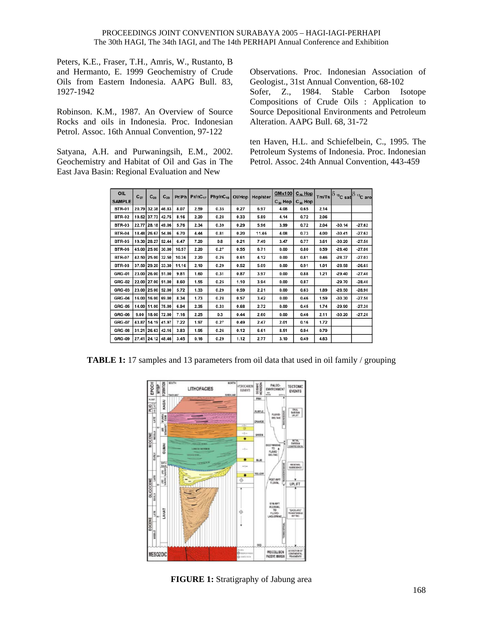Peters, K.E., Fraser, T.H., Amris, W., Rustanto, B and Hermanto, E. 1999 Geochemistry of Crude Oils from Eastern Indonesia. AAPG Bull. 83, 1927-1942

Robinson. K.M., 1987. An Overview of Source Rocks and oils in Indonesia. Proc. Indonesian Petrol. Assoc. 16th Annual Convention, 97-122

Satyana, A.H. and Purwaningsih, E.M., 2002. Geochemistry and Habitat of Oil and Gas in The East Java Basin: Regional Evaluation and New

Observations. Proc. Indonesian Association of Geologist., 31st Annual Convention, 68-102 Sofer, Z., 1984. Stable Carbon Isotope Compositions of Crude Oils : Application to Source Depositional Environments and Petroleum Alteration. AAPG Bull. 68, 31-72

ten Haven, H.L. and Schiefelbein, C., 1995. The Petroleum Systems of Indonesia. Proc. Indonesian Petrol. Assoc. 24th Annual Convention, 443-459

| OIL<br><b>SAMPLE</b> | $C_{27}$ | $C_{28}$          | $C_{29}$ |       | $Pr/Ph$ Pr/nC <sub>17</sub> | $Phy/nC_{18}$ | Ol/Hop | Hop/ster | <b>GMx100</b><br>$C_{30}$ Hop | $C_{28}$ Hop<br>$C_{30}$ Hop | Tm/Ts |          | $\delta$ <sup>13</sup> C sat $\delta$ <sup>13</sup> C aro |
|----------------------|----------|-------------------|----------|-------|-----------------------------|---------------|--------|----------|-------------------------------|------------------------------|-------|----------|-----------------------------------------------------------|
| <b>BTR-01</b>        |          | 20.79 32.38       | 46.83    | 8.07  | 2.59                        | 0.35          | 0.27   | 6.97     | 4.08                          | 0.65                         | 2.14  |          |                                                           |
| <b>BTR-02</b>        |          | 19.52 37.73       | 42.75    | 8.16  | 2.20                        | 0.28          | 0.33   | 5.89     | 4.14                          | 0.72                         | 2.06  |          |                                                           |
| <b>BTR-03</b>        |          | 22.77 28.18       | 49.06    | 5.76  | 2.34                        | 0.39          | 0.29   | 5.96     | 3.99                          | 0.72                         | 2.04  | $-30.14$ | $-27.62$                                                  |
| <b>BTR-04</b>        |          | 18.48 26.67       | 54.86    | 6.70  | 4.44                        | 0.81          | 0.20   | 11.46    | 4.08                          | 0.73                         | 4.00  | $-30.41$ | $-27.62$                                                  |
| <b>BTR-05</b>        |          | 19.30 28.27       | 52.44    | 6.47  | 7.20                        | 0.8           | 0.21   | 7.49     | 3.47                          | 0.77                         | 3.61  | $-30.20$ | $-27.50$                                                  |
| <b>BTR-06</b>        |          | 45.00 25.00       | 30.00    | 10.57 | 2.20                        | 0.27          | 0.55   | 6.71     | 0.00                          | 0.80                         | 0.59  | $-28.40$ | $-27.06$                                                  |
| <b>BTR-07</b>        |          | 42.50 25.00       | 32.50    | 10.36 | 2.20                        | 0.26          | 0.61   | 4.12     | 0.00                          | 0.81                         | 0.46  | $-28.37$ | $-27.03$                                                  |
| <b>BTR-08</b>        |          | 37.50 29.20       | 33.30    | 11.16 | 2.10                        | 0.29          | 0.52   | 5.09     | 0.00                          | 0.91                         | 1.01  | $-28.58$ | $-26.65$                                                  |
| <b>GRG-01</b>        |          | 23.00 26.00       | 51.00    | 9.81  | 1.60                        | 0.31          | 0.87   | 3.97     | 0.00                          | 0.88                         | 1.21  | $-29.40$ | $-27.40$                                                  |
| <b>GRG-02</b>        |          | 22.00 27.00       | 51.00    | 8.60  | 1.55                        | 0.25          | 1.10   | 3.94     | 0.00                          | 0.87                         |       | $-29.70$ | $-28.40$                                                  |
| <b>GRG-03</b>        |          | 23.00 25.00       | 52.00    | 5.72  | 1.33                        | 0.29          | 0.59   | 2.21     | 0.00                          | 0.63                         | 1.89  | $-28.50$ | $-28.90$                                                  |
| <b>GRG-04</b>        |          | 16.00   16.00     | 69.00    | 8.34  | 1.73                        | 0.28          | 0.57   | 3.42     | 0.00                          | 0.46                         | 1.59  | $-30.30$ | $-27.50$                                                  |
| <b>GRG-05</b>        |          | 14.00 11.00 75.00 |          | 6.94  | 2.35                        | 0.33          | 0.68   | 2.72     | 0.00                          | 0.45                         | 1.74  | $-29.90$ | $-27.30$                                                  |
| <b>GRG-06</b>        | 9.00     | 18.00             | 72.00    | 7.16  | 2.25                        | 0.3           | 0.44   | 2.60     | 0.00                          | 0.46                         | 2.11  | $-30.20$ | $-27.20$                                                  |
| <b>GRG-07</b>        | 43.87    | 14.19             | 41.97    | 7.22  | 1.97                        | 0.27          | 0.49   | 2.47     | 2.01                          | 0.16                         | 1.72  |          |                                                           |
| <b>GRG-08</b>        |          | 31.21 26.63       | 42.16    | 3.83  | 1.95                        | 0.26          | 0.12   | 6.61     | 8.51                          | 0.94                         | 0.79  |          |                                                           |
| <b>GRG-09</b>        |          | 27.41 24.12 48.46 |          | 3.45  | 0.16                        | 0.29          | 1.12   | 2.77     | 3.10                          | 0.49                         | 4.63  |          |                                                           |

**TABLE 1:** 17 samples and 13 parameters from oil data that used in oil family / grouping



**FIGURE 1:** Stratigraphy of Jabung area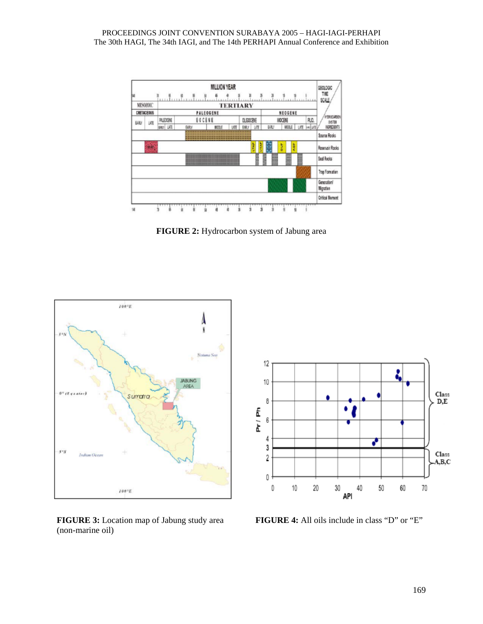

**FIGURE 2:** Hydrocarbon system of Jabung area



(non-marine oil)



**FIGURE 3:** Location map of Jabung study area **FIGURE 4:** All oils include in class "D" or "E"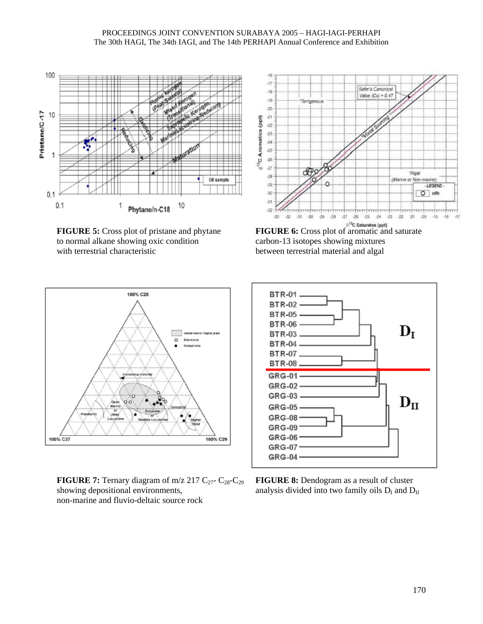

**FIGURE 5:** Cross plot of pristane and phytane **FIGURE 6:** Cross plot of aromatic and saturate to normal alkane showing oxic condition carbon-13 isotopes showing mixtures with terrestrial characteristic between terrestrial material and algal





**FIGURE 7:** Ternary diagram of m/z 217 C<sub>27</sub>- C<sub>28</sub>-C<sub>29</sub> **FIGURE 8:** Dendogram as a result of cluster showing depositional environments, analysis divided into two family oils  $D_I$  and  $D_{II}$ non-marine and fluvio-deltaic source rock

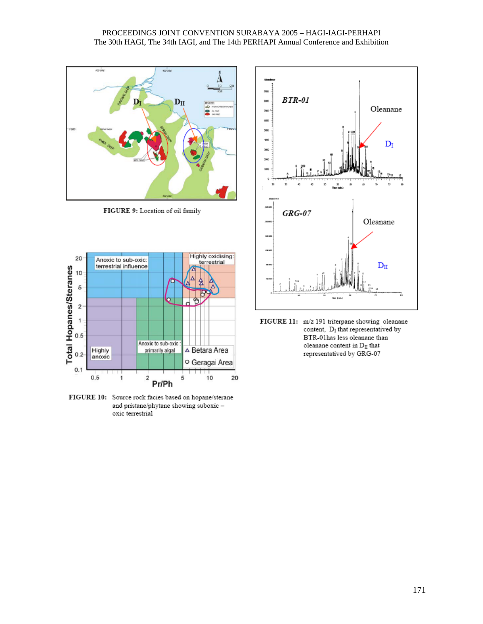

FIGURE 9: Location of oil family



FIGURE 10: Source rock facies based on hopane/sterane and pristane/phytane showing suboxic oxic terrestrial



FIGURE 11: m/z 191 triterpane showing oleanane content, D<sub>I</sub> that representatived by BTR-01has less oleanane than oleanane content in  $D_{\rm II}$  that representatived by GRG-07